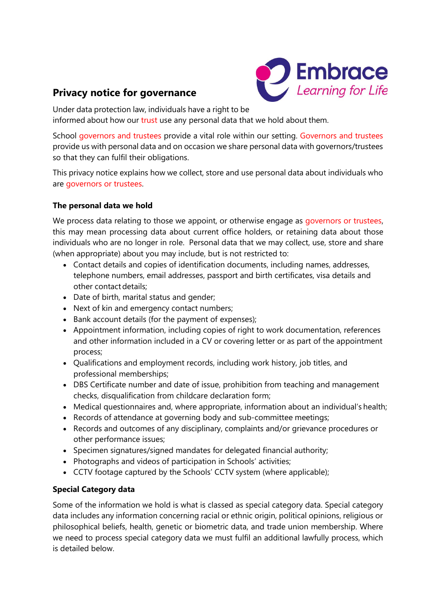# **Privacy notice for governance**



Under data protection law, individuals have a right to be informed about how our trust use any personal data that we hold about them.

School governors and trustees provide a vital role within our setting. Governors and trustees provide us with personal data and on occasion we share personal data with governors/trustees so that they can fulfil their obligations.

This privacy notice explains how we collect, store and use personal data about individuals who are governors or trustees.

### **The personal data we hold**

We process data relating to those we appoint, or otherwise engage as governors or trustees, this may mean processing data about current office holders, or retaining data about those individuals who are no longer in role. Personal data that we may collect, use, store and share (when appropriate) about you may include, but is not restricted to:

- Contact details and copies of identification documents, including names, addresses, telephone numbers, email addresses, passport and birth certificates, visa details and other contact details;
- Date of birth, marital status and gender;
- Next of kin and emergency contact numbers;
- Bank account details (for the payment of expenses);
- Appointment information, including copies of right to work documentation, references and other information included in a CV or covering letter or as part of the appointment process;
- Qualifications and employment records, including work history, job titles, and professional memberships;
- DBS Certificate number and date of issue, prohibition from teaching and management checks, disqualification from childcare declaration form;
- Medical questionnaires and, where appropriate, information about an individual's health;
- Records of attendance at governing body and sub-committee meetings;
- Records and outcomes of any disciplinary, complaints and/or grievance procedures or other performance issues;
- Specimen signatures/signed mandates for delegated financial authority;
- Photographs and videos of participation in Schools' activities;
- CCTV footage captured by the Schools' CCTV system (where applicable);

## **Special Category data**

Some of the information we hold is what is classed as special category data. Special category data includes any information concerning racial or ethnic origin, political opinions, religious or philosophical beliefs, health, genetic or biometric data, and trade union membership. Where we need to process special category data we must fulfil an additional lawfully process, which is detailed below.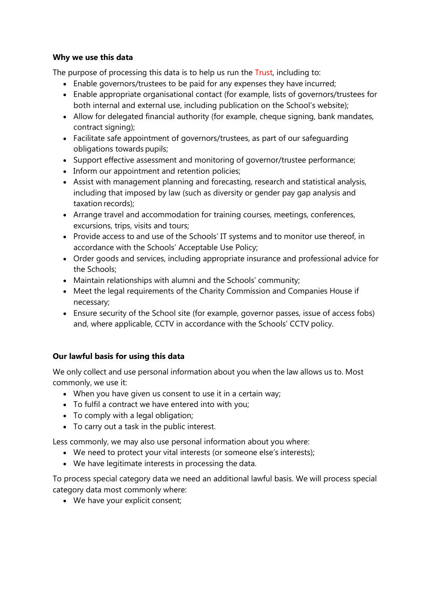#### **Why we use this data**

The purpose of processing this data is to help us run the Trust, including to:

- Enable governors/trustees to be paid for any expenses they have incurred;
- Enable appropriate organisational contact (for example, lists of governors/trustees for both internal and external use, including publication on the School's website);
- Allow for delegated financial authority (for example, cheque signing, bank mandates, contract signing);
- Facilitate safe appointment of governors/trustees, as part of our safeguarding obligations towards pupils;
- Support effective assessment and monitoring of governor/trustee performance;
- Inform our appointment and retention policies;
- Assist with management planning and forecasting, research and statistical analysis, including that imposed by law (such as diversity or gender pay gap analysis and taxation records);
- Arrange travel and accommodation for training courses, meetings, conferences, excursions, trips, visits and tours;
- Provide access to and use of the Schools' IT systems and to monitor use thereof, in accordance with the Schools' Acceptable Use Policy;
- Order goods and services, including appropriate insurance and professional advice for the Schools;
- Maintain relationships with alumni and the Schools' community;
- Meet the legal requirements of the Charity Commission and Companies House if necessary;
- Ensure security of the School site (for example, governor passes, issue of access fobs) and, where applicable, CCTV in accordance with the Schools' CCTV policy.

#### **Our lawful basis for using this data**

We only collect and use personal information about you when the law allows us to. Most commonly, we use it:

- When you have given us consent to use it in a certain way;
- To fulfil a contract we have entered into with you;
- To comply with a legal obligation;
- To carry out a task in the public interest.

Less commonly, we may also use personal information about you where:

- We need to protect your vital interests (or someone else's interests);
- We have legitimate interests in processing the data.

To process special category data we need an additional lawful basis. We will process special category data most commonly where:

• We have your explicit consent;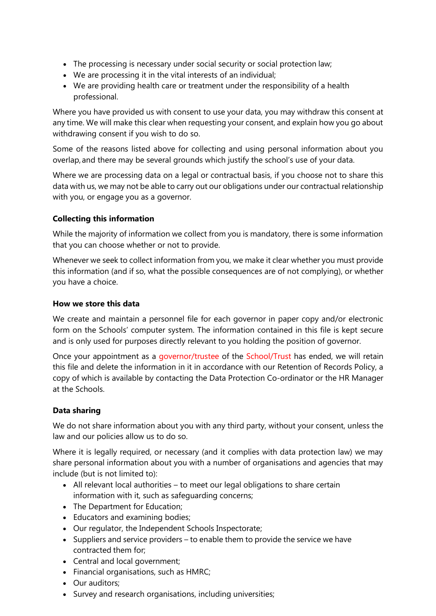- The processing is necessary under social security or social protection law;
- We are processing it in the vital interests of an individual;
- We are providing health care or treatment under the responsibility of a health professional.

Where you have provided us with consent to use your data, you may withdraw this consent at any time. We will make this clear when requesting your consent, and explain how you go about withdrawing consent if you wish to do so.

Some of the reasons listed above for collecting and using personal information about you overlap, and there may be several grounds which justify the school's use of your data.

Where we are processing data on a legal or contractual basis, if you choose not to share this data with us, we may not be able to carry out our obligations under our contractual relationship with you, or engage you as a governor.

#### **Collecting this information**

While the majority of information we collect from you is mandatory, there is some information that you can choose whether or not to provide.

Whenever we seek to collect information from you, we make it clear whether you must provide this information (and if so, what the possible consequences are of not complying), or whether you have a choice.

#### **How we store this data**

We create and maintain a personnel file for each governor in paper copy and/or electronic form on the Schools' computer system. The information contained in this file is kept secure and is only used for purposes directly relevant to you holding the position of governor.

Once your appointment as a governor/trustee of the School/Trust has ended, we will retain this file and delete the information in it in accordance with our Retention of Records Policy, a copy of which is available by contacting the Data Protection Co-ordinator or the HR Manager at the Schools.

#### **Data sharing**

We do not share information about you with any third party, without your consent, unless the law and our policies allow us to do so.

Where it is legally required, or necessary (and it complies with data protection law) we may share personal information about you with a number of organisations and agencies that may include (but is not limited to):

- All relevant local authorities to meet our legal obligations to share certain information with it, such as safeguarding concerns;
- The Department for Education;
- Educators and examining bodies;
- Our regulator, the Independent Schools Inspectorate;
- Suppliers and service providers to enable them to provide the service we have contracted them for;
- Central and local government;
- Financial organisations, such as HMRC;
- Our auditors;
- Survey and research organisations, including universities;